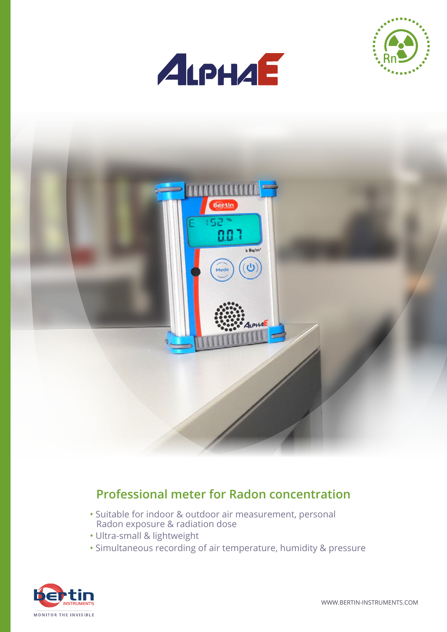





#### **Professional meter for Radon concentration**

- Suitable for indoor & outdoor air measurement, personal Radon exposure & radiation dose
- Ultra-small & lightweight
- Simultaneous recording of air temperature, humidity & pressure